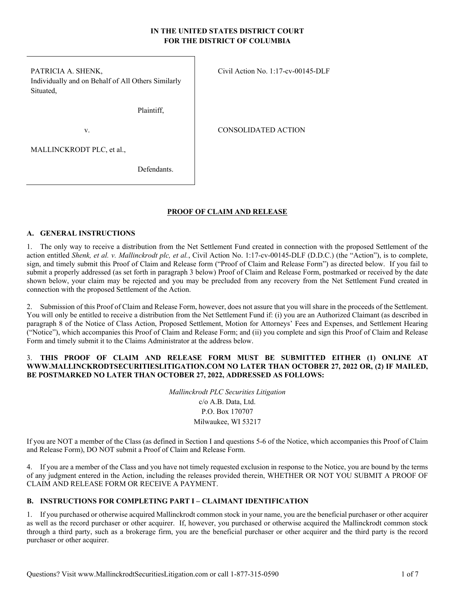## **IN THE UNITED STATES DISTRICT COURT FOR THE DISTRICT OF COLUMBIA**

PATRICIA A. SHENK, Individually and on Behalf of All Others Similarly Situated,

Plaintiff,

v.

CONSOLIDATED ACTION

Civil Action No. 1:17-cv-00145-DLF

MALLINCKRODT PLC, et al.,

Defendants.

## **PROOF OF CLAIM AND RELEASE**

### **A. GENERAL INSTRUCTIONS**

1. The only way to receive a distribution from the Net Settlement Fund created in connection with the proposed Settlement of the action entitled *Shenk, et al. v. Mallinckrodt plc, et al.*, Civil Action No. 1:17-cv-00145-DLF (D.D.C.) (the "Action"), is to complete, sign, and timely submit this Proof of Claim and Release form ("Proof of Claim and Release Form") as directed below. If you fail to submit a properly addressed (as set forth in paragraph 3 below) Proof of Claim and Release Form, postmarked or received by the date shown below, your claim may be rejected and you may be precluded from any recovery from the Net Settlement Fund created in connection with the proposed Settlement of the Action.

2. Submission of this Proof of Claim and Release Form, however, does not assure that you will share in the proceeds of the Settlement. You will only be entitled to receive a distribution from the Net Settlement Fund if: (i) you are an Authorized Claimant (as described in paragraph 8 of the Notice of Class Action, Proposed Settlement, Motion for Attorneys' Fees and Expenses, and Settlement Hearing ("Notice"), which accompanies this Proof of Claim and Release Form; and (ii) you complete and sign this Proof of Claim and Release Form and timely submit it to the Claims Administrator at the address below.

### 3. **THIS PROOF OF CLAIM AND RELEASE FORM MUST BE SUBMITTED EITHER (1) ONLINE AT WWW.MALLINCKRODTSECURITIESLITIGATION.COM NO LATER THAN OCTOBER 27, 2022 OR, (2) IF MAILED, BE POSTMARKED NO LATER THAN OCTOBER 27, 2022, ADDRESSED AS FOLLOWS:**

*Mallinckrodt PLC Securities Litigation*  c/o A.B. Data, Ltd. P.O. Box 170707 Milwaukee, WI 53217

If you are NOT a member of the Class (as defined in Section I and questions 5-6 of the Notice, which accompanies this Proof of Claim and Release Form), DO NOT submit a Proof of Claim and Release Form.

4. If you are a member of the Class and you have not timely requested exclusion in response to the Notice, you are bound by the terms of any judgment entered in the Action, including the releases provided therein, WHETHER OR NOT YOU SUBMIT A PROOF OF CLAIM AND RELEASE FORM OR RECEIVE A PAYMENT.

## **B. INSTRUCTIONS FOR COMPLETING PART I – CLAIMANT IDENTIFICATION**

1. If you purchased or otherwise acquired Mallinckrodt common stock in your name, you are the beneficial purchaser or other acquirer as well as the record purchaser or other acquirer. If, however, you purchased or otherwise acquired the Mallinckrodt common stock through a third party, such as a brokerage firm, you are the beneficial purchaser or other acquirer and the third party is the record purchaser or other acquirer.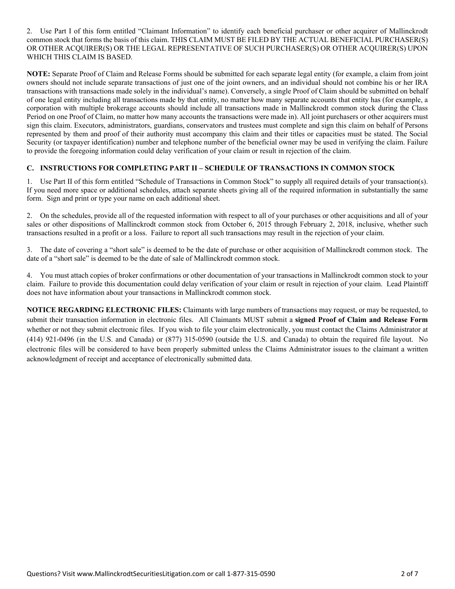2. Use Part I of this form entitled "Claimant Information" to identify each beneficial purchaser or other acquirer of Mallinckrodt common stock that forms the basis of this claim. THIS CLAIM MUST BE FILED BY THE ACTUAL BENEFICIAL PURCHASER(S) OR OTHER ACQUIRER(S) OR THE LEGAL REPRESENTATIVE OF SUCH PURCHASER(S) OR OTHER ACQUIRER(S) UPON WHICH THIS CLAIM IS BASED.

**NOTE:** Separate Proof of Claim and Release Forms should be submitted for each separate legal entity (for example, a claim from joint owners should not include separate transactions of just one of the joint owners, and an individual should not combine his or her IRA transactions with transactions made solely in the individual's name). Conversely, a single Proof of Claim should be submitted on behalf of one legal entity including all transactions made by that entity, no matter how many separate accounts that entity has (for example, a corporation with multiple brokerage accounts should include all transactions made in Mallinckrodt common stock during the Class Period on one Proof of Claim, no matter how many accounts the transactions were made in). All joint purchasers or other acquirers must sign this claim. Executors, administrators, guardians, conservators and trustees must complete and sign this claim on behalf of Persons represented by them and proof of their authority must accompany this claim and their titles or capacities must be stated. The Social Security (or taxpayer identification) number and telephone number of the beneficial owner may be used in verifying the claim. Failure to provide the foregoing information could delay verification of your claim or result in rejection of the claim.

## **C. INSTRUCTIONS FOR COMPLETING PART II – SCHEDULE OF TRANSACTIONS IN COMMON STOCK**

1. Use Part II of this form entitled "Schedule of Transactions in Common Stock" to supply all required details of your transaction(s). If you need more space or additional schedules, attach separate sheets giving all of the required information in substantially the same form. Sign and print or type your name on each additional sheet.

2. On the schedules, provide all of the requested information with respect to all of your purchases or other acquisitions and all of your sales or other dispositions of Mallinckrodt common stock from October 6, 2015 through February 2, 2018, inclusive, whether such transactions resulted in a profit or a loss. Failure to report all such transactions may result in the rejection of your claim.

3. The date of covering a "short sale" is deemed to be the date of purchase or other acquisition of Mallinckrodt common stock. The date of a "short sale" is deemed to be the date of sale of Mallinckrodt common stock.

4. You must attach copies of broker confirmations or other documentation of your transactions in Mallinckrodt common stock to your claim. Failure to provide this documentation could delay verification of your claim or result in rejection of your claim. Lead Plaintiff does not have information about your transactions in Mallinckrodt common stock.

**NOTICE REGARDING ELECTRONIC FILES:** Claimants with large numbers of transactions may request, or may be requested, to submit their transaction information in electronic files. All Claimants MUST submit a **signed Proof of Claim and Release Form** whether or not they submit electronic files. If you wish to file your claim electronically, you must contact the Claims Administrator at (414) 921-0496 (in the U.S. and Canada) or (877) 315-0590 (outside the U.S. and Canada) to obtain the required file layout. No electronic files will be considered to have been properly submitted unless the Claims Administrator issues to the claimant a written acknowledgment of receipt and acceptance of electronically submitted data.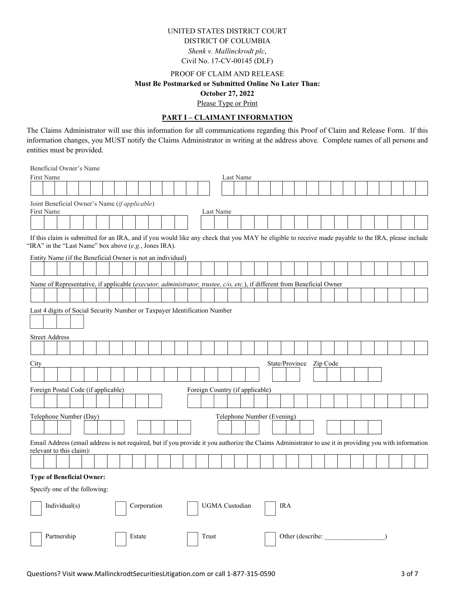## UNITED STATES DISTRICT COURT DISTRICT OF COLUMBIA *Shenk v. Mallinckrodt plc*, Civil No. 17-CV-00145 (DLF)

# PROOF OF CLAIM AND RELEASE **Must Be Postmarked or Submitted Online No Later Than: October 27, 2022**

#### Please Type or Print

#### **PART I – CLAIMANT INFORMATION**

The Claims Administrator will use this information for all communications regarding this Proof of Claim and Release Form. If this information changes, you MUST notify the Claims Administrator in writing at the address above. Complete names of all persons and entities must be provided.

 Beneficial Owner's Name First Name Last Name Last Name Joint Beneficial Owner's Name (*if applicable*) First Name Last Name Last Name If this claim is submitted for an IRA, and if you would like any check that you MAY be eligible to receive made payable to the IRA, please include "IRA" in the "Last Name" box above (*e.g.*, Jones IRA). Entity Name (if the Beneficial Owner is not an individual) Name of Representative, if applicable (*executor, administrator, trustee, c/o, etc.*), if different from Beneficial Owner Last 4 digits of Social Security Number or Taxpayer Identification Number  $\overline{\phantom{a}}$  Street Address City State/Province Zip Code Foreign Postal Code (if applicable) Foreign Country (if applicable) Telephone Number (Day) Telephone Number (Evening) Email Address (email address is not required, but if you provide it you authorize the Claims Administrator to use it in providing you with information relevant to this claim):  **Type of Beneficial Owner:**  Specify one of the following: Individual(s) Corporation | UGMA Custodian | IRA Partnership Estate Trust | Trust | Other (describe: \_\_\_\_\_\_\_\_\_\_\_\_\_\_\_\_\_\_\_\_\_\_\_\_\_\_\_\_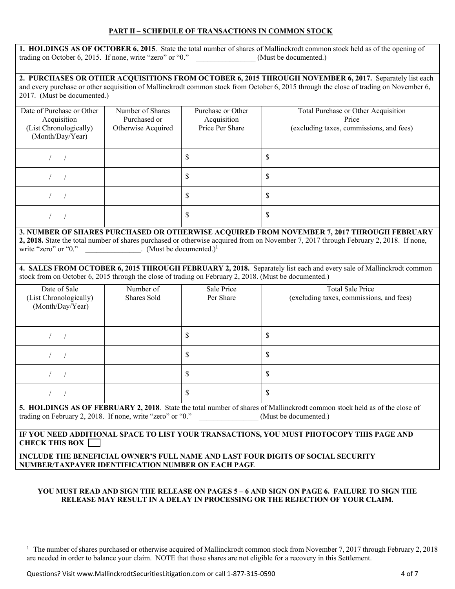## **PART II – SCHEDULE OF TRANSACTIONS IN COMMON STOCK**

|                                                           | 1. HOLDINGS AS OF OCTOBER 6, 2015. State the total number of shares of Mallinckrodt common stock held as of the opening of |
|-----------------------------------------------------------|----------------------------------------------------------------------------------------------------------------------------|
| trading on October 6, 2015. If none, write "zero" or "0." | (Must be documented.)                                                                                                      |

2. PURCHASES OR OTHER ACQUISITIONS FROM OCTOBER 6, 2015 THROUGH NOVEMBER 6, 2017. Separately list each and every purchase or other acquisition of Mallinckrodt common stock from October 6, 2015 through the close of trading on November 6, 2017. (Must be documented.)

| Date of Purchase or Other<br>Acquisition<br>(List Chronologically)<br>(Month/Day/Year) | Number of Shares<br>Purchased or<br>Otherwise Acquired | Purchase or Other<br>Acquisition<br>Price Per Share | Total Purchase or Other Acquisition<br>Price<br>(excluding taxes, commissions, and fees) |  |
|----------------------------------------------------------------------------------------|--------------------------------------------------------|-----------------------------------------------------|------------------------------------------------------------------------------------------|--|
|                                                                                        |                                                        | \$                                                  | \$                                                                                       |  |
|                                                                                        |                                                        | \$                                                  | \$                                                                                       |  |
|                                                                                        |                                                        | \$                                                  | \$                                                                                       |  |
|                                                                                        |                                                        | \$                                                  | S                                                                                        |  |

## **3. NUMBER OF SHARES PURCHASED OR OTHERWISE ACQUIRED FROM NOVEMBER 7, 2017 THROUGH FEBRUARY 2, 2018.** State the total number of shares purchased or otherwise acquired from on November 7, 2017 through February 2, 2018. If none, write "zero" or "0." \_\_\_\_\_\_\_\_\_\_\_\_\_\_\_\_. (Must be documented.)<sup>1</sup>

**4. SALES FROM OCTOBER 6, 2015 THROUGH FEBRUARY 2, 2018.** Separately list each and every sale of Mallinckrodt common stock from on October 6, 2015 through the close of trading on February 2, 2018. (Must be documented.)

| Φ                                                                                                                        |
|--------------------------------------------------------------------------------------------------------------------------|
|                                                                                                                          |
| Φ                                                                                                                        |
|                                                                                                                          |
| 5 HOLDINCS AS OF FERRILARY 2 2018, State the total number of shares of Mallingkrodt common stock held as of the close of |

**FEBRUARY 2, 2018.** State the total number of shares of Mallinckrodt common stock held as trading on February 2, 2018. If none, write "zero" or "0." (Must be documented.)

## **IF YOU NEED ADDITIONAL SPACE TO LIST YOUR TRANSACTIONS, YOU MUST PHOTOCOPY THIS PAGE AND CHECK THIS BOX**

### **INCLUDE THE BENEFICIAL OWNER'S FULL NAME AND LAST FOUR DIGITS OF SOCIAL SECURITY NUMBER/TAXPAYER IDENTIFICATION NUMBER ON EACH PAGE**

### **YOU MUST READ AND SIGN THE RELEASE ON PAGES 5 – 6 AND SIGN ON PAGE 6. FAILURE TO SIGN THE RELEASE MAY RESULT IN A DELAY IN PROCESSING OR THE REJECTION OF YOUR CLAIM.**

<sup>&</sup>lt;sup>1</sup> The number of shares purchased or otherwise acquired of Mallinckrodt common stock from November 7, 2017 through February 2, 2018 are needed in order to balance your claim. NOTE that those shares are not eligible for a recovery in this Settlement.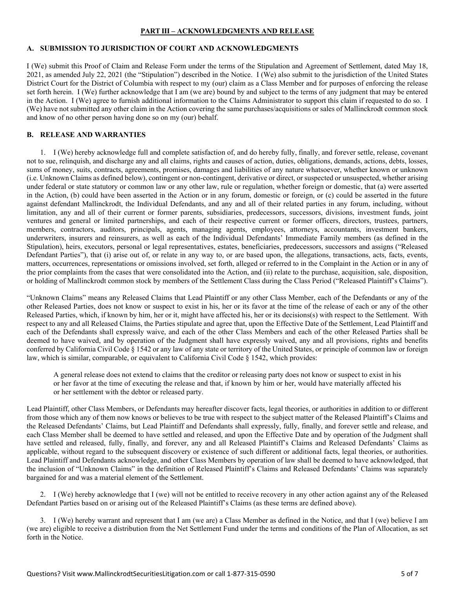### **PART III – ACKNOWLEDGMENTS AND RELEASE**

### **A. SUBMISSION TO JURISDICTION OF COURT AND ACKNOWLEDGMENTS**

I (We) submit this Proof of Claim and Release Form under the terms of the Stipulation and Agreement of Settlement, dated May 18, 2021, as amended July 22, 2021 (the "Stipulation") described in the Notice. I (We) also submit to the jurisdiction of the United States District Court for the District of Columbia with respect to my (our) claim as a Class Member and for purposes of enforcing the release set forth herein. I (We) further acknowledge that I am (we are) bound by and subject to the terms of any judgment that may be entered in the Action. I (We) agree to furnish additional information to the Claims Administrator to support this claim if requested to do so. I (We) have not submitted any other claim in the Action covering the same purchases/acquisitions or sales of Mallinckrodt common stock and know of no other person having done so on my (our) behalf.

## **B. RELEASE AND WARRANTIES**

1. I (We) hereby acknowledge full and complete satisfaction of, and do hereby fully, finally, and forever settle, release, covenant not to sue, relinquish, and discharge any and all claims, rights and causes of action, duties, obligations, demands, actions, debts, losses, sums of money, suits, contracts, agreements, promises, damages and liabilities of any nature whatsoever, whether known or unknown (i.e. Unknown Claims as defined below), contingent or non-contingent, derivative or direct, or suspected or unsuspected, whether arising under federal or state statutory or common law or any other law, rule or regulation, whether foreign or domestic, that (a) were asserted in the Action, (b) could have been asserted in the Action or in any forum, domestic or foreign, or (c) could be asserted in the future against defendant Mallinckrodt, the Individual Defendants, and any and all of their related parties in any forum, including, without limitation, any and all of their current or former parents, subsidiaries, predecessors, successors, divisions, investment funds, joint ventures and general or limited partnerships, and each of their respective current or former officers, directors, trustees, partners, members, contractors, auditors, principals, agents, managing agents, employees, attorneys, accountants, investment bankers, underwriters, insurers and reinsurers, as well as each of the Individual Defendants' Immediate Family members (as defined in the Stipulation), heirs, executors, personal or legal representatives, estates, beneficiaries, predecessors, successors and assigns ("Released Defendant Parties"), that (i) arise out of, or relate in any way to, or are based upon, the allegations, transactions, acts, facts, events, matters, occurrences, representations or omissions involved, set forth, alleged or referred to in the Complaint in the Action or in any of the prior complaints from the cases that were consolidated into the Action, and (ii) relate to the purchase, acquisition, sale, disposition, or holding of Mallinckrodt common stock by members of the Settlement Class during the Class Period ("Released Plaintiff's Claims").

"Unknown Claims" means any Released Claims that Lead Plaintiff or any other Class Member, each of the Defendants or any of the other Released Parties, does not know or suspect to exist in his, her or its favor at the time of the release of each or any of the other Released Parties, which, if known by him, her or it, might have affected his, her or its decisions(s) with respect to the Settlement. With respect to any and all Released Claims, the Parties stipulate and agree that, upon the Effective Date of the Settlement, Lead Plaintiff and each of the Defendants shall expressly waive, and each of the other Class Members and each of the other Released Parties shall be deemed to have waived, and by operation of the Judgment shall have expressly waived, any and all provisions, rights and benefits conferred by California Civil Code § 1542 or any law of any state or territory of the United States, or principle of common law or foreign law, which is similar, comparable, or equivalent to California Civil Code § 1542, which provides:

A general release does not extend to claims that the creditor or releasing party does not know or suspect to exist in his or her favor at the time of executing the release and that, if known by him or her, would have materially affected his or her settlement with the debtor or released party.

Lead Plaintiff, other Class Members, or Defendants may hereafter discover facts, legal theories, or authorities in addition to or different from those which any of them now knows or believes to be true with respect to the subject matter of the Released Plaintiff's Claims and the Released Defendants' Claims, but Lead Plaintiff and Defendants shall expressly, fully, finally, and forever settle and release, and each Class Member shall be deemed to have settled and released, and upon the Effective Date and by operation of the Judgment shall have settled and released, fully, finally, and forever, any and all Released Plaintiff's Claims and Released Defendants' Claims as applicable, without regard to the subsequent discovery or existence of such different or additional facts, legal theories, or authorities. Lead Plaintiff and Defendants acknowledge, and other Class Members by operation of law shall be deemed to have acknowledged, that the inclusion of "Unknown Claims" in the definition of Released Plaintiff's Claims and Released Defendants' Claims was separately bargained for and was a material element of the Settlement.

2. I (We) hereby acknowledge that I (we) will not be entitled to receive recovery in any other action against any of the Released Defendant Parties based on or arising out of the Released Plaintiff's Claims (as these terms are defined above).

3. I (We) hereby warrant and represent that I am (we are) a Class Member as defined in the Notice, and that I (we) believe I am (we are) eligible to receive a distribution from the Net Settlement Fund under the terms and conditions of the Plan of Allocation, as set forth in the Notice.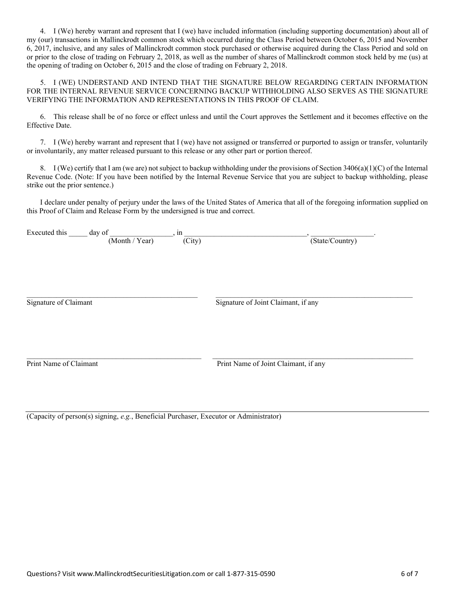4. I (We) hereby warrant and represent that I (we) have included information (including supporting documentation) about all of my (our) transactions in Mallinckrodt common stock which occurred during the Class Period between October 6, 2015 and November 6, 2017, inclusive, and any sales of Mallinckrodt common stock purchased or otherwise acquired during the Class Period and sold on or prior to the close of trading on February 2, 2018, as well as the number of shares of Mallinckrodt common stock held by me (us) at the opening of trading on October 6, 2015 and the close of trading on February 2, 2018.

5. I (WE) UNDERSTAND AND INTEND THAT THE SIGNATURE BELOW REGARDING CERTAIN INFORMATION FOR THE INTERNAL REVENUE SERVICE CONCERNING BACKUP WITHHOLDING ALSO SERVES AS THE SIGNATURE VERIFYING THE INFORMATION AND REPRESENTATIONS IN THIS PROOF OF CLAIM.

6. This release shall be of no force or effect unless and until the Court approves the Settlement and it becomes effective on the Effective Date.

7. I (We) hereby warrant and represent that I (we) have not assigned or transferred or purported to assign or transfer, voluntarily or involuntarily, any matter released pursuant to this release or any other part or portion thereof.

8. I (We) certify that I am (we are) not subject to backup withholding under the provisions of Section  $3406(a)(1)(C)$  of the Internal Revenue Code. (Note: If you have been notified by the Internal Revenue Service that you are subject to backup withholding, please strike out the prior sentence.)

I declare under penalty of perjury under the laws of the United States of America that all of the foregoing information supplied on this Proof of Claim and Release Form by the undersigned is true and correct.

| Executed this          | day of | (Month / Year) | in<br>(City) | (State/Country)                      |
|------------------------|--------|----------------|--------------|--------------------------------------|
| Signature of Claimant  |        |                |              | Signature of Joint Claimant, if any  |
| Print Name of Claimant |        |                |              | Print Name of Joint Claimant, if any |

(Capacity of person(s) signing, *e.g.*, Beneficial Purchaser, Executor or Administrator)